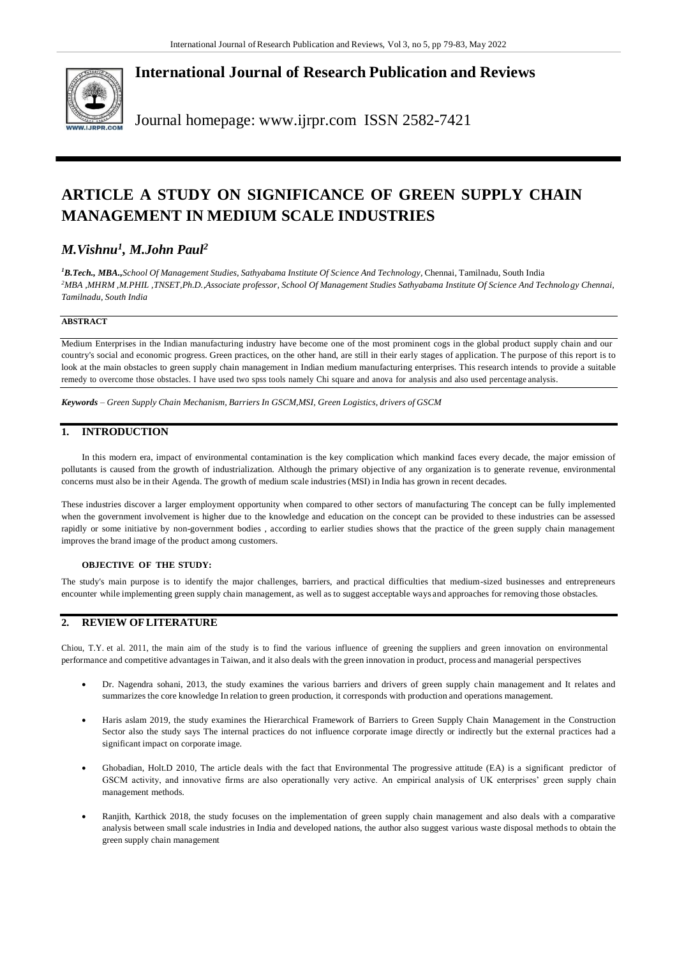

**International Journal of Research Publication and Reviews**

Journal homepage: [www.ijrpr.com](http://www.ijrpr.com/) ISSN 2582-7421

# **ARTICLE A STUDY ON SIGNIFICANCE OF GREEN SUPPLY CHAIN MANAGEMENT IN MEDIUM SCALE INDUSTRIES**

## *M.Vishnu<sup>1</sup> , M.John Paul<sup>2</sup>*

*<sup>1</sup>B.Tech., MBA.,School Of Management Studies, Sathyabama Institute Of Science And Technology,* Chennai, Tamilnadu, South India *<sup>2</sup>MBA ,MHRM ,M.PHIL ,TNSET,Ph.D.,Associate professor, School Of Management Studies Sathyabama Institute Of Science And Technology Chennai, Tamilnadu, South India*

### **ABSTRACT**

Medium Enterprises in the Indian manufacturing industry have become one of the most prominent cogs in the global product supply chain and our country's social and economic progress. Green practices, on the other hand, are still in their early stages of application. The purpose of this report is to look at the main obstacles to green supply chain management in Indian medium manufacturing enterprises. This research intends to provide a suitable remedy to overcome those obstacles. I have used two spss tools namely Chi square and anova for analysis and also used percentage analysis.

*Keywords – Green Supply Chain Mechanism, Barriers In GSCM,MSI, Green Logistics, drivers of GSCM*

## **1. INTRODUCTION**

In this modern era, impact of environmental contamination is the key complication which mankind faces every decade, the major emission of pollutants is caused from the growth of industrialization. Although the primary objective of any organization is to generate revenue, environmental concerns must also be in their Agenda. The growth of medium scale industries(MSI) in India has grown in recent decades.

These industries discover a larger employment opportunity when compared to other sectors of manufacturing The concept can be fully implemented when the government involvement is higher due to the knowledge and education on the concept can be provided to these industries can be assessed rapidly or some initiative by non-government bodies , according to earlier studies shows that the practice of the green supply chain management improves the brand image of the product among customers.

#### **OBJECTIVE OF THE STUDY:**

The study's main purpose is to identify the major challenges, barriers, and practical difficulties that medium-sized businesses and entrepreneurs encounter while implementing green supply chain management, as well as to suggest acceptable ways and approaches for removing those obstacles.

## **2. REVIEW OFLITERATURE**

Chiou, T.Y. et al. 2011, the main aim of the study is to find the various influence of greening the suppliers and green innovation on environmental performance and competitive advantagesin Taiwan, and it also deals with the green innovation in product, process and managerial perspectives

- Dr. Nagendra sohani, 2013, the study examines the various barriers and drivers of green supply chain management and It relates and summarizes the core knowledge In relation to green production, it corresponds with production and operations management.
- Haris aslam 2019, the study examines the Hierarchical Framework of Barriers to Green Supply Chain Management in the Construction Sector also the study says The internal practices do not influence corporate image directly or indirectly but the external practices had a significant impact on corporate image.
- Ghobadian, Holt.D 2010, The article deals with the fact that Environmental The progressive attitude (EA) is a significant predictor of GSCM activity, and innovative firms are also operationally very active. An empirical analysis of UK enterprises' green supply chain management methods.
- Ranjith, Karthick 2018, the study focuses on the implementation of green supply chain management and also deals with a comparative analysis between small scale industries in India and developed nations, the author also suggest various waste disposal methods to obtain the green supply chain management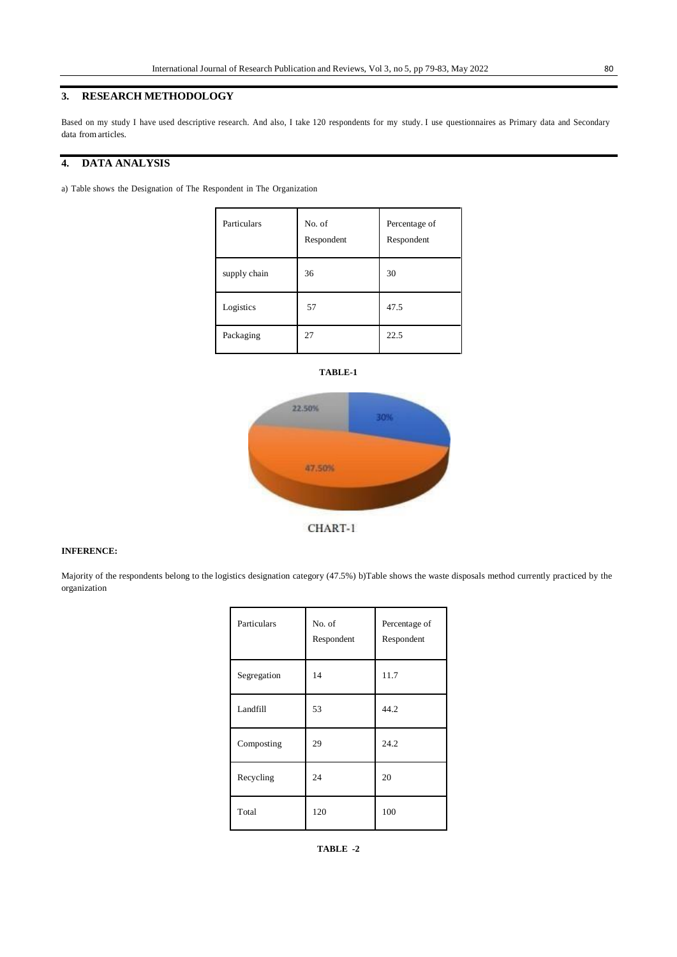## **3. RESEARCH METHODOLOGY**

Based on my study I have used descriptive research. And also, I take 120 respondents for my study. I use questionnaires as Primary data and Secondary data from articles.

## **4. DATA ANALYSIS**

a) Table shows the Designation of The Respondent in The Organization

| Particulars  | No. of<br>Respondent | Percentage of<br>Respondent |
|--------------|----------------------|-----------------------------|
| supply chain | 36                   | 30                          |
| Logistics    | 57                   | 47.5                        |
| Packaging    | 27                   | 22.5                        |







#### **INFERENCE:**

Majority of the respondents belong to the logistics designation category (47.5%) b)Table shows the waste disposals method currently practiced by the organization

| Particulars | No. of<br>Respondent | Percentage of<br>Respondent |
|-------------|----------------------|-----------------------------|
| Segregation | 14                   | 11.7                        |
| Landfill    | 53                   | 44.2                        |
| Composting  | 29                   | 24.2                        |
| Recycling   | 24                   | 20                          |
| Total       | 120                  | 100                         |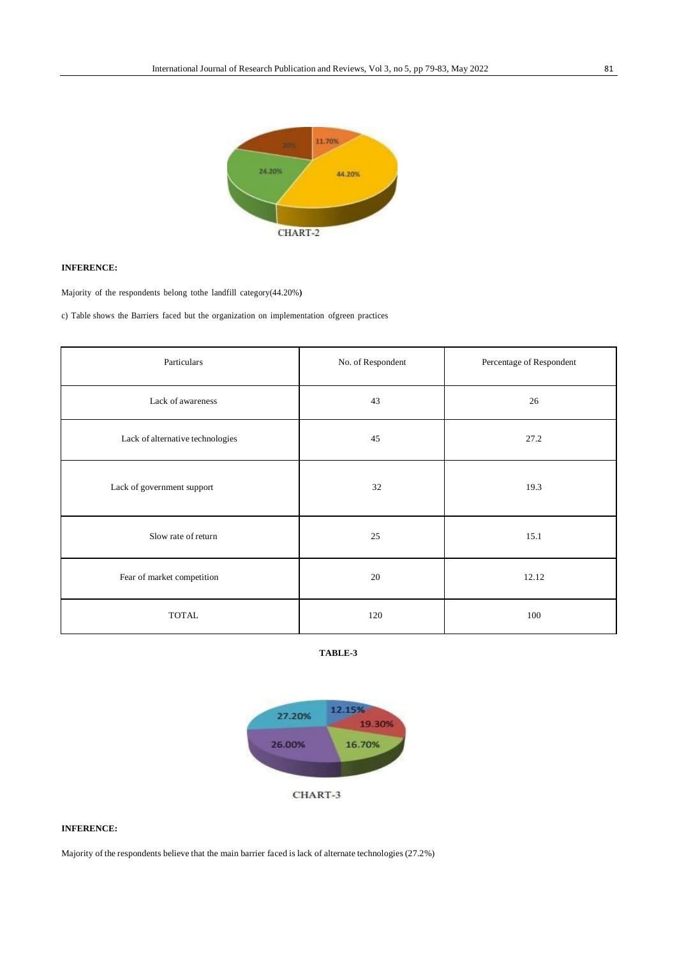

#### **INFERENCE:**

Majority of the respondents belong tothe landfill category(44.20%**)**

c) Table shows the Barriers faced but the organization on implementation ofgreen practices

| Particulars                      | No. of Respondent | Percentage of Respondent |
|----------------------------------|-------------------|--------------------------|
| Lack of awareness                | 43                | 26                       |
| Lack of alternative technologies | 45                | 27.2                     |
| Lack of government support       | 32                | 19.3                     |
| Slow rate of return              | 25                | 15.1                     |
| Fear of market competition       | 20                | 12.12                    |
| <b>TOTAL</b>                     | 120               | 100                      |





## **INFERENCE:**

Majority of the respondents believe that the main barrier faced is lack of alternate technologies (27.2%)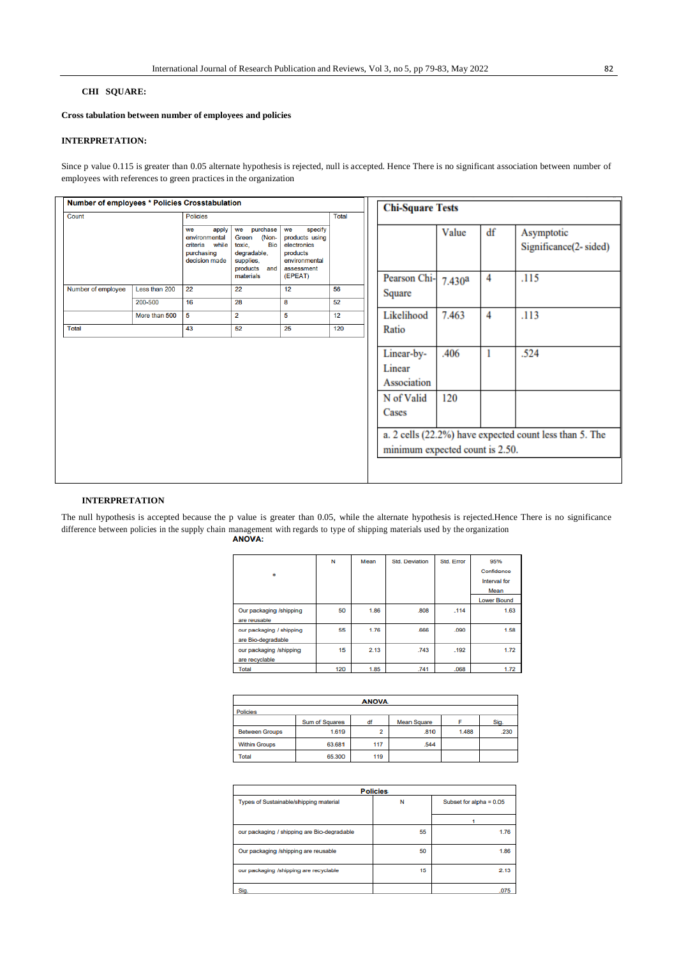#### **CHI SQUARE:**

**Cross tabulation between number of employees and policies**

#### **INTERPRETATION:**

Since p value 0.115 is greater than 0.05 alternate hypothesis is rejected, null is accepted. Hence There is no significant association between number of employees with references to green practices in the organization

| Number of employees * Policies Crosstabulation |               |                                                                                  |                                                                                                      |                                                                                           | <b>Chi-Square Tests</b> |  |                                                                                               |             |    |                                                                 |
|------------------------------------------------|---------------|----------------------------------------------------------------------------------|------------------------------------------------------------------------------------------------------|-------------------------------------------------------------------------------------------|-------------------------|--|-----------------------------------------------------------------------------------------------|-------------|----|-----------------------------------------------------------------|
| Count<br><b>Policies</b>                       |               | <b>Total</b>                                                                     |                                                                                                      |                                                                                           |                         |  |                                                                                               |             |    |                                                                 |
|                                                |               | apply<br>we<br>environmental<br>while<br>criteria<br>purchasing<br>decision made | we purchase<br>(Non-<br>Green<br><b>Bio</b><br>toxic.<br>degradable,<br>supplies,<br>products<br>and | specify<br>we<br>products using<br>electronics<br>products<br>environmental<br>assessment |                         |  |                                                                                               | Value       | df | Asymptotic<br>Significance(2-sided)                             |
|                                                |               |                                                                                  | materials                                                                                            | (EPEAT)                                                                                   |                         |  | Pearson Chi-                                                                                  | 7.430a      | 4  | .115                                                            |
| Number of employee                             | Less than 200 | 22                                                                               | 22                                                                                                   | 12                                                                                        | 56                      |  | Square                                                                                        |             |    |                                                                 |
|                                                | 200-500       | 16                                                                               | 28                                                                                                   | 8                                                                                         | 52                      |  |                                                                                               |             |    |                                                                 |
|                                                | More than 500 | 5                                                                                | $\overline{2}$                                                                                       | 5                                                                                         | 12                      |  | Likelihood                                                                                    | 7.463       | 4  | .113                                                            |
| <b>Total</b>                                   |               | 43                                                                               | 52                                                                                                   | 25                                                                                        | 120                     |  | Ratio                                                                                         |             |    |                                                                 |
|                                                |               |                                                                                  |                                                                                                      |                                                                                           |                         |  | Linear-by-<br>Linear<br>Association<br>N of Valid<br>Cases<br>minimum expected count is 2.50. | .406<br>120 |    | .524<br>a. 2 cells (22.2%) have expected count less than 5. The |

#### **INTERPRETATION**

The null hypothesis is accepted because the p value is greater than 0.05, while the alternate hypothesis is rejected.Hence There is no significance difference between policies in the supply chain management with regards to type of shipping materials used by the organization<br>**ANOVA:** 

| ۰                                              | N   | Mean | <b>Std. Deviation</b> | Std. Error | 95%<br>Confidence<br>Interval for<br>Mean |
|------------------------------------------------|-----|------|-----------------------|------------|-------------------------------------------|
|                                                |     |      |                       |            | <b>Lower Bound</b>                        |
| Our packaging /shipping<br>are reusable        | 50  | 1.86 | .808                  | .114       | 1.63                                      |
| our packaging / shipping<br>are Bio-degradable | 55  | 1.76 | .666                  | .090       | 1.58                                      |
| our packaging /shipping<br>are recyclable      | 15  | 2.13 | .743                  | .192       | 1.72                                      |
| <b>Total</b>                                   | 120 | 1.85 | .741                  | .068       | 1.72                                      |

| <b>ANOVA</b>          |                |     |                    |       |      |  |
|-----------------------|----------------|-----|--------------------|-------|------|--|
| Policies              |                |     |                    |       |      |  |
|                       | Sum of Squares | df  | <b>Mean Square</b> |       | Sig. |  |
| <b>Between Groups</b> | 1.619          | 2   | .810               | 1.488 | 230  |  |
| <b>Within Groups</b>  | 63.681         | 117 | .544               |       |      |  |
| Total                 | 65.300         | 119 |                    |       |      |  |

| <b>Policies</b>                             |    |                         |  |  |  |  |
|---------------------------------------------|----|-------------------------|--|--|--|--|
| Types of Sustainable/shipping material<br>N |    | Subset for alpha = 0.05 |  |  |  |  |
|                                             |    |                         |  |  |  |  |
| our packaging / shipping are Bio-degradable | 55 | 1.76                    |  |  |  |  |
| Our packaging /shipping are reusable        | 50 | 1.86                    |  |  |  |  |
| our packaging /shipping are recyclable      | 15 | 2.13                    |  |  |  |  |
| Sig.                                        |    | .075                    |  |  |  |  |